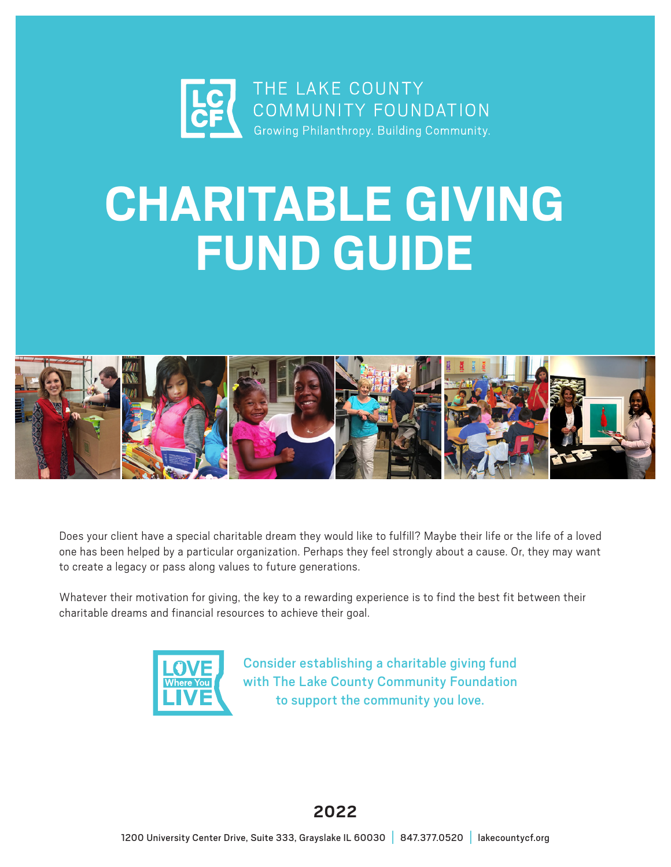

# **CHARITABLE GIVING FUND GUIDE**



Does your client have a special charitable dream they would like to fulfill? Maybe their life or the life of a loved one has been helped by a particular organization. Perhaps they feel strongly about a cause. Or, they may want to create a legacy or pass along values to future generations.

Whatever their motivation for giving, the key to a rewarding experience is to find the best fit between their charitable dreams and financial resources to achieve their goal.



Consider establishing a charitable giving fund with The Lake County Community Foundation to support the community you love.

# **2022**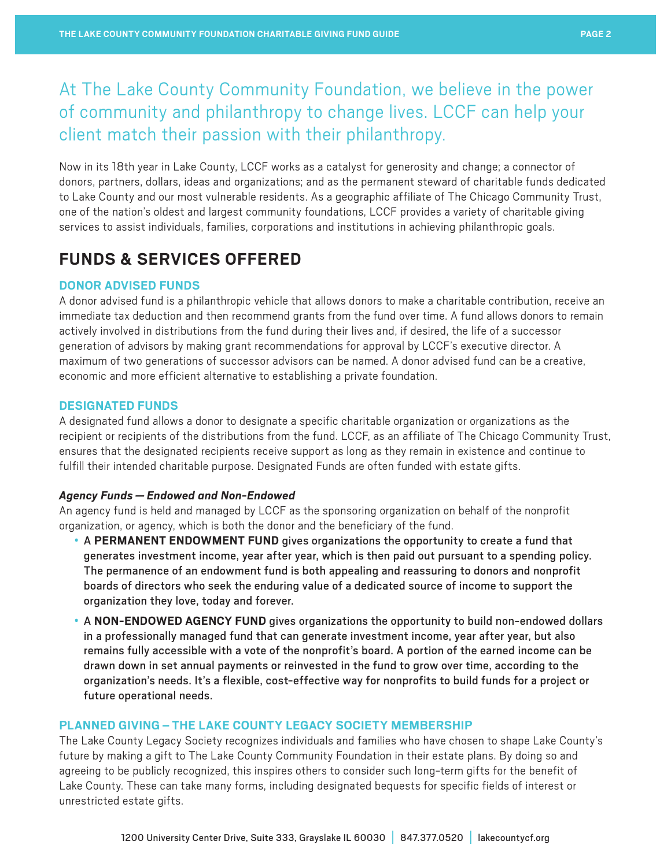# At The Lake County Community Foundation, we believe in the power of community and philanthropy to change lives. LCCF can help your client match their passion with their philanthropy.

Now in its 18th year in Lake County, LCCF works as a catalyst for generosity and change; a connector of donors, partners, dollars, ideas and organizations; and as the permanent steward of charitable funds dedicated to Lake County and our most vulnerable residents. As a geographic affiliate of The Chicago Community Trust, one of the nation's oldest and largest community foundations, LCCF provides a variety of charitable giving services to assist individuals, families, corporations and institutions in achieving philanthropic goals.

# **FUNDS & SERVICES OFFERED**

# **DONOR ADVISED FUNDS**

A donor advised fund is a philanthropic vehicle that allows donors to make a charitable contribution, receive an immediate tax deduction and then recommend grants from the fund over time. A fund allows donors to remain actively involved in distributions from the fund during their lives and, if desired, the life of a successor generation of advisors by making grant recommendations for approval by LCCF's executive director. A maximum of two generations of successor advisors can be named. A donor advised fund can be a creative, economic and more efficient alternative to establishing a private foundation.

# **DESIGNATED FUNDS**

A designated fund allows a donor to designate a specific charitable organization or organizations as the recipient or recipients of the distributions from the fund. LCCF, as an affiliate of The Chicago Community Trust, ensures that the designated recipients receive support as long as they remain in existence and continue to fulfill their intended charitable purpose. Designated Funds are often funded with estate gifts.

## *Agency Funds — Endowed and Non-Endowed*

An agency fund is held and managed by LCCF as the sponsoring organization on behalf of the nonprofit organization, or agency, which is both the donor and the beneficiary of the fund.

- A **PERMANENT ENDOWMENT FUND** gives organizations the opportunity to create a fund that generates investment income, year after year, which is then paid out pursuant to a spending policy. The permanence of an endowment fund is both appealing and reassuring to donors and nonprofit boards of directors who seek the enduring value of a dedicated source of income to support the organization they love, today and forever.
- A **NON-ENDOWED AGENCY FUND** gives organizations the opportunity to build non-endowed dollars in a professionally managed fund that can generate investment income, year after year, but also remains fully accessible with a vote of the nonprofit's board. A portion of the earned income can be drawn down in set annual payments or reinvested in the fund to grow over time, according to the organization's needs. It's a flexible, cost-effective way for nonprofits to build funds for a project or future operational needs.

## **PLANNED GIVING – THE LAKE COUNTY LEGACY SOCIETY MEMBERSHIP**

The Lake County Legacy Society recognizes individuals and families who have chosen to shape Lake County's future by making a gift to The Lake County Community Foundation in their estate plans. By doing so and agreeing to be publicly recognized, this inspires others to consider such long-term gifts for the benefit of Lake County. These can take many forms, including designated bequests for specific fields of interest or unrestricted estate gifts.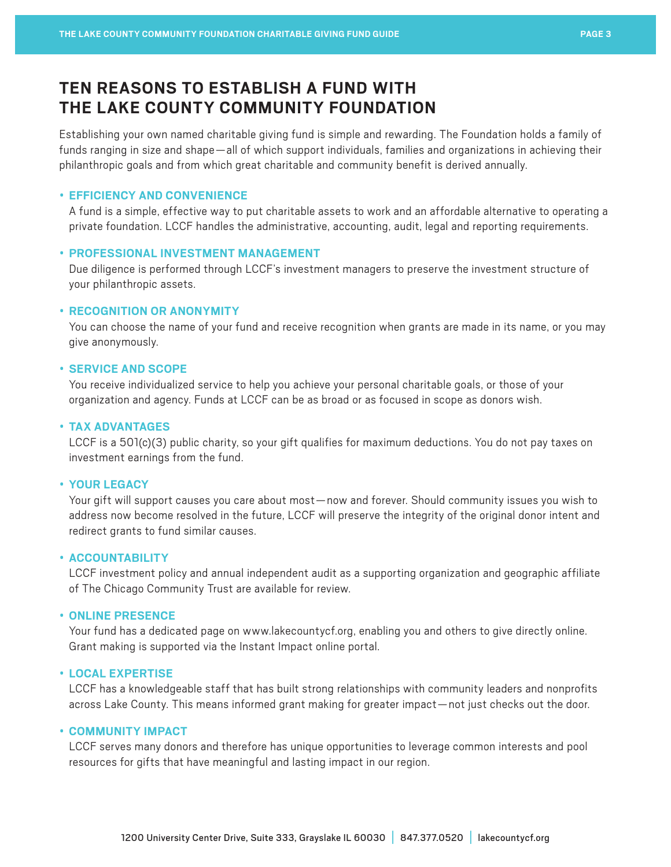# **TEN REASONS TO ESTABLISH A FUND WITH THE LAKE COUNTY COMMUNITY FOUNDATION**

Establishing your own named charitable giving fund is simple and rewarding. The Foundation holds a family of funds ranging in size and shape—all of which support individuals, families and organizations in achieving their philanthropic goals and from which great charitable and community benefit is derived annually.

## • **EFFICIENCY AND CONVENIENCE**

A fund is a simple, effective way to put charitable assets to work and an affordable alternative to operating a private foundation. LCCF handles the administrative, accounting, audit, legal and reporting requirements.

## • **PROFESSIONAL INVESTMENT MANAGEMENT**

Due diligence is performed through LCCF's investment managers to preserve the investment structure of your philanthropic assets.

## • **RECOGNITION OR ANONYMITY**

You can choose the name of your fund and receive recognition when grants are made in its name, or you may give anonymously.

#### • **SERVICE AND SCOPE**

You receive individualized service to help you achieve your personal charitable goals, or those of your organization and agency. Funds at LCCF can be as broad or as focused in scope as donors wish.

## • **TAX ADVANTAGES**

LCCF is a 501(c)(3) public charity, so your gift qualifies for maximum deductions. You do not pay taxes on investment earnings from the fund.

## • **YOUR LEGACY**

Your gift will support causes you care about most—now and forever. Should community issues you wish to address now become resolved in the future, LCCF will preserve the integrity of the original donor intent and redirect grants to fund similar causes.

#### • **ACCOUNTABILITY**

LCCF investment policy and annual independent audit as a supporting organization and geographic affiliate of The Chicago Community Trust are available for review.

#### • **ONLINE PRESENCE**

Your fund has a dedicated page on [www.lakecountycf.org](http://www.lakecountycf.org), enabling you and others to give directly online. Grant making is supported via the Instant Impact online portal.

#### • **LOCAL EXPERTISE**

LCCF has a knowledgeable staff that has built strong relationships with community leaders and nonprofits across Lake County. This means informed grant making for greater impact—not just checks out the door.

#### • **COMMUNITY IMPACT**

LCCF serves many donors and therefore has unique opportunities to leverage common interests and pool resources for gifts that have meaningful and lasting impact in our region.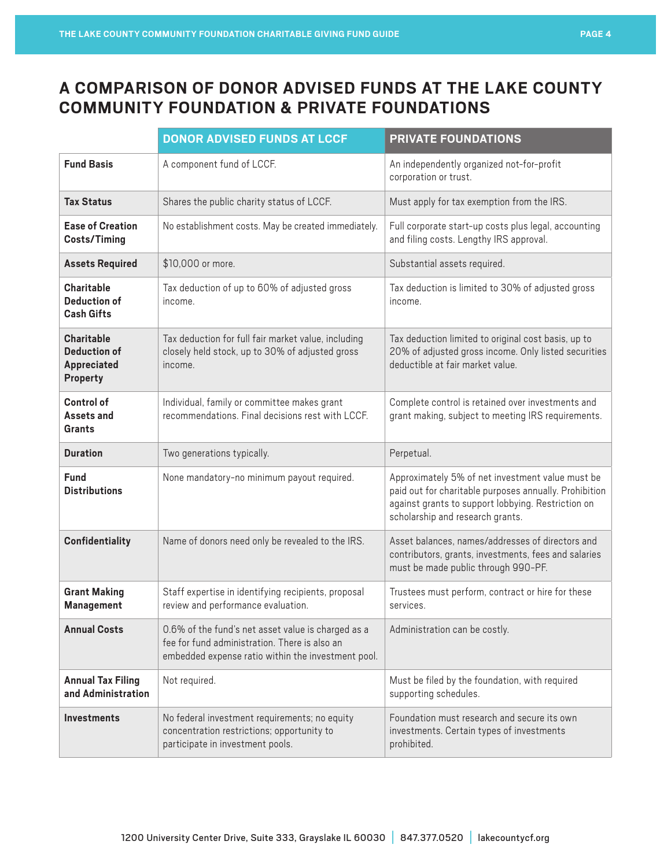# **A COMPARISON OF DONOR ADVISED FUNDS AT THE LAKE COUNTY COMMUNITY FOUNDATION & PRIVATE FOUNDATIONS**

|                                                              | <b>DONOR ADVISED FUNDS AT LCCF</b>                                                                                                                        | <b>PRIVATE FOUNDATIONS</b>                                                                                                                                                                           |
|--------------------------------------------------------------|-----------------------------------------------------------------------------------------------------------------------------------------------------------|------------------------------------------------------------------------------------------------------------------------------------------------------------------------------------------------------|
| <b>Fund Basis</b>                                            | A component fund of LCCF.                                                                                                                                 | An independently organized not-for-profit<br>corporation or trust.                                                                                                                                   |
| <b>Tax Status</b>                                            | Shares the public charity status of LCCF.                                                                                                                 | Must apply for tax exemption from the IRS.                                                                                                                                                           |
| <b>Ease of Creation</b><br><b>Costs/Timing</b>               | No establishment costs. May be created immediately.                                                                                                       | Full corporate start-up costs plus legal, accounting<br>and filing costs. Lengthy IRS approval.                                                                                                      |
| <b>Assets Required</b>                                       | \$10,000 or more.                                                                                                                                         | Substantial assets required.                                                                                                                                                                         |
| Charitable<br><b>Deduction of</b><br><b>Cash Gifts</b>       | Tax deduction of up to 60% of adjusted gross<br>income.                                                                                                   | Tax deduction is limited to 30% of adjusted gross<br>income.                                                                                                                                         |
| <b>Charitable</b><br>Deduction of<br>Appreciated<br>Property | Tax deduction for full fair market value, including<br>closely held stock, up to 30% of adjusted gross<br>income.                                         | Tax deduction limited to original cost basis, up to<br>20% of adjusted gross income. Only listed securities<br>deductible at fair market value.                                                      |
| Control of<br>Assets and<br><b>Grants</b>                    | Individual, family or committee makes grant<br>recommendations. Final decisions rest with LCCF.                                                           | Complete control is retained over investments and<br>grant making, subject to meeting IRS requirements.                                                                                              |
| <b>Duration</b>                                              | Two generations typically.                                                                                                                                | Perpetual.                                                                                                                                                                                           |
| <b>Fund</b><br><b>Distributions</b>                          | None mandatory-no minimum payout required.                                                                                                                | Approximately 5% of net investment value must be<br>paid out for charitable purposes annually. Prohibition<br>against grants to support lobbying. Restriction on<br>scholarship and research grants. |
| Confidentiality                                              | Name of donors need only be revealed to the IRS.                                                                                                          | Asset balances, names/addresses of directors and<br>contributors, grants, investments, fees and salaries<br>must be made public through 990-PF.                                                      |
| <b>Grant Making</b><br><b>Management</b>                     | Staff expertise in identifying recipients, proposal<br>review and performance evaluation.                                                                 | Trustees must perform, contract or hire for these<br>services.                                                                                                                                       |
| <b>Annual Costs</b>                                          | 0.6% of the fund's net asset value is charged as a<br>fee for fund administration. There is also an<br>embedded expense ratio within the investment pool. | Administration can be costly.                                                                                                                                                                        |
| <b>Annual Tax Filing</b><br>and Administration               | Not required.                                                                                                                                             | Must be filed by the foundation, with required<br>supporting schedules.                                                                                                                              |
| <b>Investments</b>                                           | No federal investment requirements; no equity<br>concentration restrictions; opportunity to<br>participate in investment pools.                           | Foundation must research and secure its own<br>investments. Certain types of investments<br>prohibited.                                                                                              |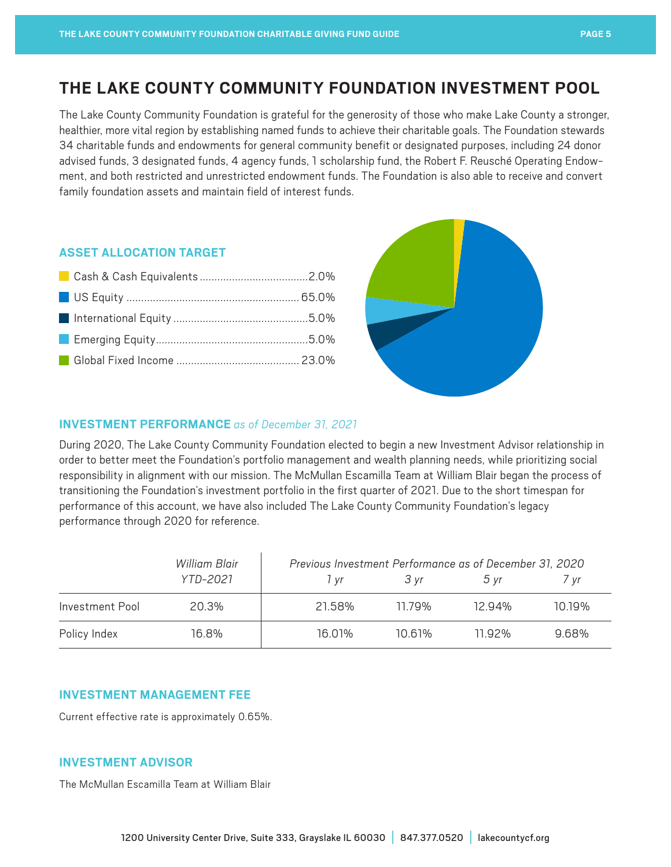# **THE LAKE COUNTY COMMUNITY FOUNDATION INVESTMENT POOL**

The Lake County Community Foundation is grateful for the generosity of those who make Lake County a stronger, healthier, more vital region by establishing named funds to achieve their charitable goals. The Foundation stewards 34 charitable funds and endowments for general community benefit or designated purposes, including 24 donor advised funds, 3 designated funds, 4 agency funds, 1 scholarship fund, the Robert F. Reusché Operating Endowment, and both restricted and unrestricted endowment funds. The Foundation is also able to receive and convert family foundation assets and maintain field of interest funds.

# **ASSET ALLOCATION TARGET**



# **INVESTMENT PERFORMANCE** *as of December 31, 2021*

During 2020, The Lake County Community Foundation elected to begin a new Investment Advisor relationship in order to better meet the Foundation's portfolio management and wealth planning needs, while prioritizing social responsibility in alignment with our mission. The McMullan Escamilla Team at William Blair began the process of transitioning the Foundation's investment portfolio in the first quarter of 2021. Due to the short timespan for performance of this account, we have also included The Lake County Community Foundation's legacy performance through 2020 for reference.

|                 | William Blair | Previous Investment Performance as of December 31, 2020 |        |                |        |
|-----------------|---------------|---------------------------------------------------------|--------|----------------|--------|
|                 | YTD-2021      | l vr                                                    | 3 vr   | $5 \text{ yr}$ | / vr   |
| Investment Pool | 20.3%         | 21.58%                                                  | 1179%  | 12 94%         | 10 19% |
| Policy Index    | 16.8%         | 16.01%                                                  | 10 61% | 11 92%         | 9.68%  |

## **INVESTMENT MANAGEMENT FEE**

Current effective rate is approximately 0.65%.

## **INVESTMENT ADVISOR**

The McMullan Escamilla Team at William Blair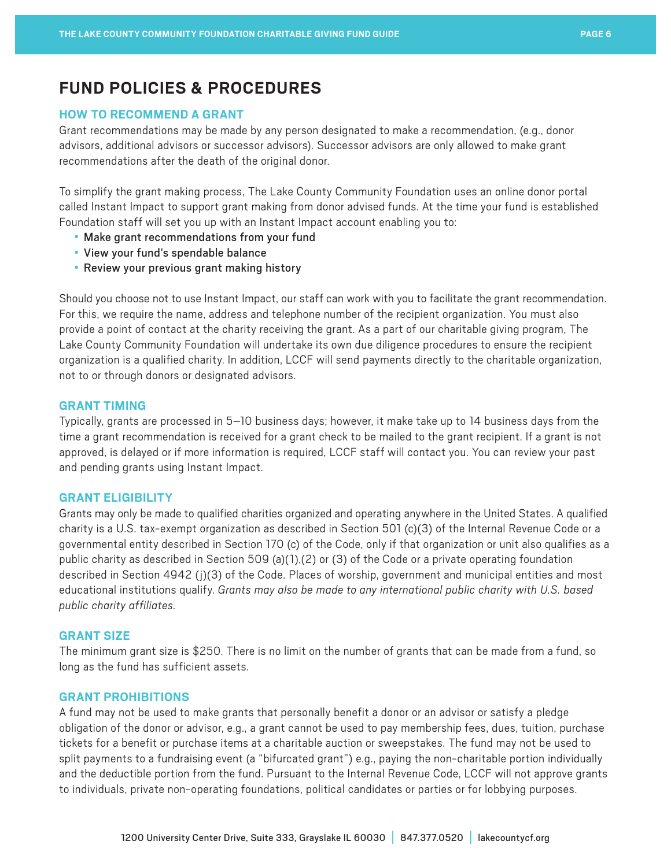# **FUND POLICIES & PROCEDURES**

# **HOW TO RECOMMEND A GRANT**

Grant recommendations may be made by any person designated to make a recommendation, (e.g., donor advisors, additional advisors or successor advisors). Successor advisors are only allowed to make grant recommendations after the death of the original donor.

To simplify the grant making process, The Lake County Community Foundation uses an online donor portal called Instant Impact to support grant making from donor advised funds. At the time your fund is established Foundation staff will set you up with an Instant Impact account enabling you to:

- Make grant recommendations from your fund
- View your fund's spendable balance
- Review your previous grant making history

Should you choose not to use Instant Impact, our staff can work with you to facilitate the grant recommendation. For this, we require the name, address and telephone number of the recipient organization. You must also provide a point of contact at the charity receiving the grant. As a part of our charitable giving program, The Lake County Community Foundation will undertake its own due diligence procedures to ensure the recipient organization is a qualified charity. In addition, LCCF will send payments directly to the charitable organization, not to or through donors or designated advisors.

# **GRANT TIMING**

Typically, grants are processed in 5–10 business days; however, it make take up to 14 business days from the time a grant recommendation is received for a grant check to be mailed to the grant recipient. If a grant is not approved, is delayed or if more information is required, LCCF staff will contact you. You can review your past and pending grants using Instant Impact.

## **GRANT ELIGIBILITY**

Grants may only be made to qualified charities organized and operating anywhere in the United States. A qualified charity is a U.S. tax-exempt organization as described in Section 501 (c)(3) of the Internal Revenue Code or a governmental entity described in Section 170 (c) of the Code, only if that organization or unit also qualifies as a public charity as described in Section 509 (a)(1),(2) or (3) of the Code or a private operating foundation described in Section 4942 (j)(3) of the Code. Places of worship, government and municipal entities and most educational institutions qualify. *Grants may also be made to any international public charity with U.S. based public charity affiliates.*

## **GRANT SIZE**

The minimum grant size is \$250. There is no limit on the number of grants that can be made from a fund, so long as the fund has sufficient assets.

#### **GRANT PROHIBITIONS**

A fund may not be used to make grants that personally benefit a donor or an advisor or satisfy a pledge obligation of the donor or advisor, e.g., a grant cannot be used to pay membership fees, dues, tuition, purchase tickets for a benefit or purchase items at a charitable auction or sweepstakes. The fund may not be used to split payments to a fundraising event (a "bifurcated grant") e.g., paying the non-charitable portion individually and the deductible portion from the fund. Pursuant to the Internal Revenue Code, LCCF will not approve grants to individuals, private non-operating foundations, political candidates or parties or for lobbying purposes.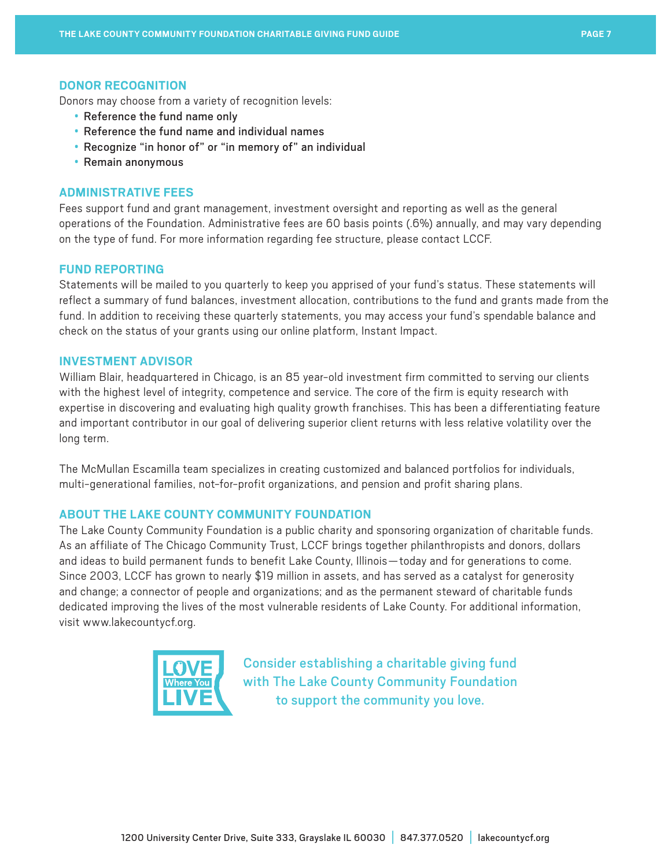#### **DONOR RECOGNITION**

Donors may choose from a variety of recognition levels:

- Reference the fund name only
- Reference the fund name and individual names
- Recognize "in honor of" or "in memory of" an individual
- Remain anonymous

# **ADMINISTRATIVE FEES**

Fees support fund and grant management, investment oversight and reporting as well as the general operations of the Foundation. Administrative fees are 60 basis points (.6%) annually, and may vary depending on the type of fund. For more information regarding fee structure, please contact LCCF.

#### **FUND REPORTING**

Statements will be mailed to you quarterly to keep you apprised of your fund's status. These statements will reflect a summary of fund balances, investment allocation, contributions to the fund and grants made from the fund. In addition to receiving these quarterly statements, you may access your fund's spendable balance and check on the status of your grants using our online platform, Instant Impact.

# **INVESTMENT ADVISOR**

William Blair, headquartered in Chicago, is an 85 year-old investment firm committed to serving our clients with the highest level of integrity, competence and service. The core of the firm is equity research with expertise in discovering and evaluating high quality growth franchises. This has been a differentiating feature and important contributor in our goal of delivering superior client returns with less relative volatility over the long term.

The McMullan Escamilla team specializes in creating customized and balanced portfolios for individuals, multi-generational families, not-for-profit organizations, and pension and profit sharing plans.

#### **ABOUT THE LAKE COUNTY COMMUNITY FOUNDATION**

The Lake County Community Foundation is a public charity and sponsoring organization of charitable funds. As an affiliate of The Chicago Community Trust, LCCF brings together philanthropists and donors, dollars and ideas to build permanent funds to benefit Lake County, Illinois—today and for generations to come. Since 2003, LCCF has grown to nearly \$19 million in assets, and has served as a catalyst for generosity and change; a connector of people and organizations; and as the permanent steward of charitable funds dedicated improving the lives of the most vulnerable residents of Lake County. For additional information, visit [www.lakecountycf.org](http://www.lakecountycf.org).



Consider establishing a charitable giving fund with The Lake County Community Foundation to support the community you love.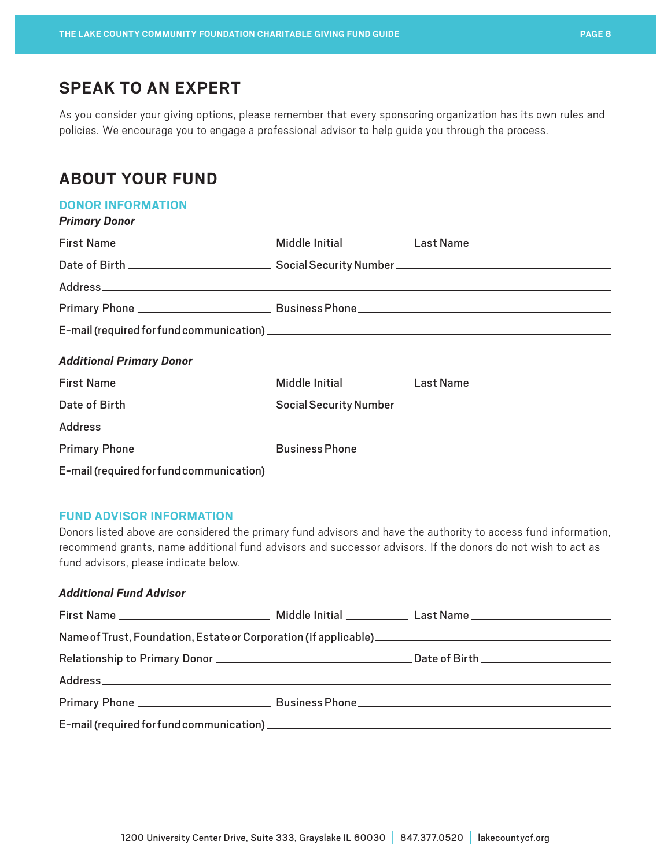# **SPEAK TO AN EXPERT**

As you consider your giving options, please remember that every sponsoring organization has its own rules and policies. We encourage you to engage a professional advisor to help guide you through the process.

# **ABOUT YOUR FUND**

## **DONOR INFORMATION**

| <b>Primary Donor</b>            |  |
|---------------------------------|--|
|                                 |  |
|                                 |  |
|                                 |  |
|                                 |  |
|                                 |  |
| <b>Additional Primary Donor</b> |  |
|                                 |  |
|                                 |  |
|                                 |  |
|                                 |  |
|                                 |  |

# **FUND ADVISOR INFORMATION**

Donors listed above are considered the primary fund advisors and have the authority to access fund information, recommend grants, name additional fund advisors and successor advisors. If the donors do not wish to act as fund advisors, please indicate below.

# *Additional Fund Advisor*

| Name of Trust, Foundation, Estate or Corporation (if applicable)<br>1988 |  |
|--------------------------------------------------------------------------|--|
|                                                                          |  |
|                                                                          |  |
|                                                                          |  |
|                                                                          |  |